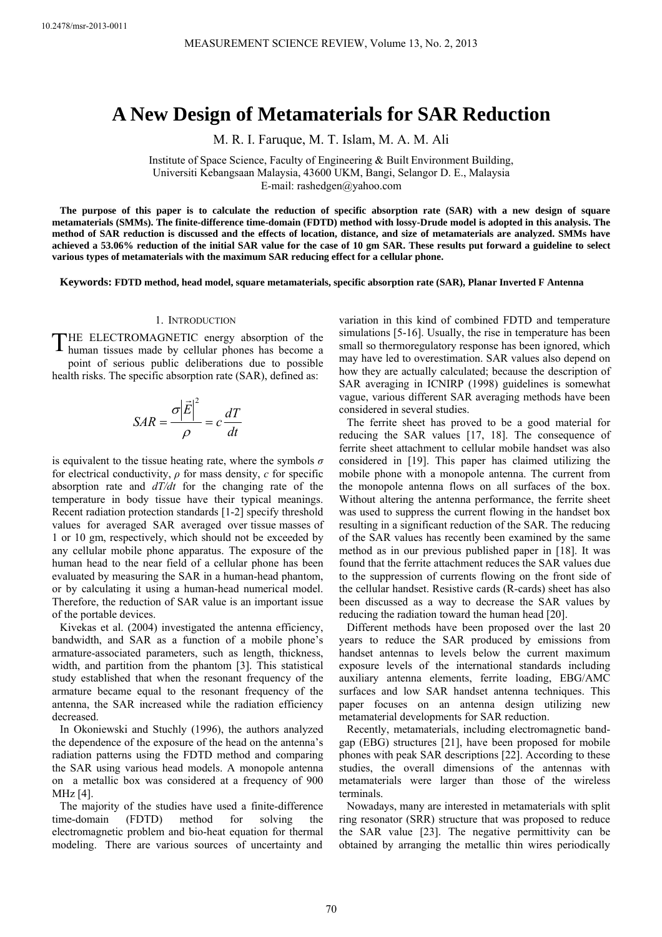# **A New Design of Metamaterials for SAR Reduction**

M. R. I. Faruque, M. T. Islam, M. A. M. Ali

Institute of Space Science, Faculty of Engineering & Built Environment Building, Universiti Kebangsaan Malaysia, 43600 UKM, Bangi, Selangor D. E., Malaysia

E-mail: rashedgen@yahoo.com

**The purpose of this paper is to calculate the reduction of specific absorption rate (SAR) with a new design of square metamaterials (SMMs). The finite-difference time-domain (FDTD) method with lossy-Drude model is adopted in this analysis. The method of SAR reduction is discussed and the effects of location, distance, and size of metamaterials are analyzed. SMMs have achieved a 53.06% reduction of the initial SAR value for the case of 10 gm SAR. These results put forward a guideline to select various types of metamaterials with the maximum SAR reducing effect for a cellular phone.** 

**Keywords: FDTD method, head model, square metamaterials, specific absorption rate (SAR), Planar Inverted F Antenna**

#### 1. INTRODUCTION

THE ELECTROMAGNETIC energy absorption of the human tissues made by cellular phones has become a human tissues made by cellular phones has become a point of serious public deliberations due to possible health risks. The specific absorption rate (SAR), defined as:

$$
SAR = \frac{\sigma |\vec{E}|^2}{\rho} = c\frac{dT}{dt}
$$

is equivalent to the tissue heating rate, where the symbols *σ* for electrical conductivity, *ρ* for mass density, *c* for specific absorption rate and *dT/dt* for the changing rate of the temperature in body tissue have their typical meanings. Recent radiation protection standards [1-2] specify threshold values for averaged SAR averaged over tissue masses of 1 or 10 gm, respectively, which should not be exceeded by any cellular mobile phone apparatus. The exposure of the human head to the near field of a cellular phone has been evaluated by measuring the SAR in a human-head phantom, or by calculating it using a human-head numerical model. Therefore, the reduction of SAR value is an important issue of the portable devices.

Kivekas et al. (2004) investigated the antenna efficiency, bandwidth, and SAR as a function of a mobile phone's armature-associated parameters, such as length, thickness, width, and partition from the phantom [3]. This statistical study established that when the resonant frequency of the armature became equal to the resonant frequency of the antenna, the SAR increased while the radiation efficiency decreased.

In Okoniewski and Stuchly (1996), the authors analyzed the dependence of the exposure of the head on the antenna's radiation patterns using the FDTD method and comparing the SAR using various head models. A monopole antenna on a metallic box was considered at a frequency of 900 MHz [4].

The majority of the studies have used a finite-difference time-domain (FDTD) method for solving the electromagnetic problem and bio-heat equation for thermal modeling. There are various sources of uncertainty and variation in this kind of combined FDTD and temperature simulations [5-16]. Usually, the rise in temperature has been small so thermoregulatory response has been ignored, which may have led to overestimation. SAR values also depend on how they are actually calculated; because the description of SAR averaging in ICNIRP (1998) guidelines is somewhat vague, various different SAR averaging methods have been considered in several studies.

The ferrite sheet has proved to be a good material for reducing the SAR values [17, 18]. The consequence of ferrite sheet attachment to cellular mobile handset was also considered in [19]. This paper has claimed utilizing the mobile phone with a monopole antenna. The current from the monopole antenna flows on all surfaces of the box. Without altering the antenna performance, the ferrite sheet was used to suppress the current flowing in the handset box resulting in a significant reduction of the SAR. The reducing of the SAR values has recently been examined by the same method as in our previous published paper in [18]. It was found that the ferrite attachment reduces the SAR values due to the suppression of currents flowing on the front side of the cellular handset. Resistive cards (R-cards) sheet has also been discussed as a way to decrease the SAR values by reducing the radiation toward the human head [20].

Different methods have been proposed over the last 20 years to reduce the SAR produced by emissions from handset antennas to levels below the current maximum exposure levels of the international standards including auxiliary antenna elements, ferrite loading, EBG/AMC surfaces and low SAR handset antenna techniques. This paper focuses on an antenna design utilizing new metamaterial developments for SAR reduction.

Recently, metamaterials, including electromagnetic bandgap (EBG) structures [21], have been proposed for mobile phones with peak SAR descriptions [22]. According to these studies, the overall dimensions of the antennas with metamaterials were larger than those of the wireless terminals.

Nowadays, many are interested in metamaterials with split ring resonator (SRR) structure that was proposed to reduce the SAR value [23]. The negative permittivity can be obtained by arranging the metallic thin wires periodically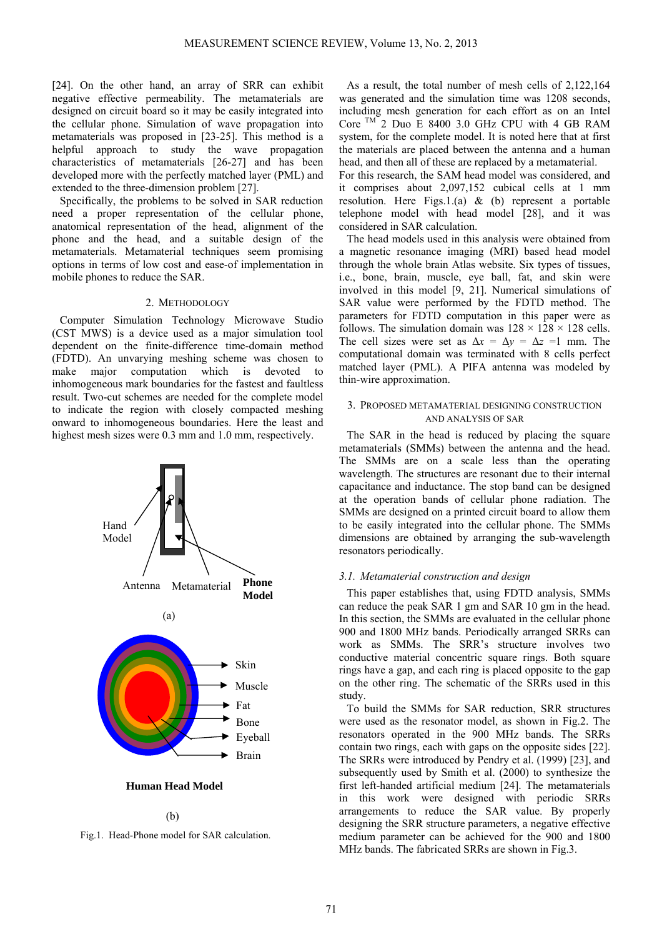[24]. On the other hand, an array of SRR can exhibit negative effective permeability. The metamaterials are designed on circuit board so it may be easily integrated into the cellular phone. Simulation of wave propagation into metamaterials was proposed in [23-25]. This method is a helpful approach to study the wave propagation characteristics of metamaterials [26-27] and has been developed more with the perfectly matched layer (PML) and extended to the three-dimension problem [27].

Specifically, the problems to be solved in SAR reduction need a proper representation of the cellular phone, anatomical representation of the head, alignment of the phone and the head, and a suitable design of the metamaterials. Metamaterial techniques seem promising options in terms of low cost and ease-of implementation in mobile phones to reduce the SAR.

# 2. METHODOLOGY

Computer Simulation Technology Microwave Studio (CST MWS) is a device used as a major simulation tool dependent on the finite-difference time-domain method (FDTD). An unvarying meshing scheme was chosen to make major computation which is devoted to inhomogeneous mark boundaries for the fastest and faultless result. Two-cut schemes are needed for the complete model to indicate the region with closely compacted meshing onward to inhomogeneous boundaries. Here the least and highest mesh sizes were 0.3 mm and 1.0 mm, respectively.



#### **Human Head Model**

# (b)

Fig.1.Head-Phone model for SAR calculation.

As a result, the total number of mesh cells of 2,122,164 was generated and the simulation time was 1208 seconds, including mesh generation for each effort as on an Intel Core  $TM^2$  Duo E 8400 3.0 GHz CPU with 4 GB RAM system, for the complete model. It is noted here that at first the materials are placed between the antenna and a human head, and then all of these are replaced by a metamaterial.

For this research, the SAM head model was considered, and it comprises about 2,097,152 cubical cells at 1 mm resolution. Here Figs.1.(a) & (b) represent a portable telephone model with head model [28], and it was considered in SAR calculation.

The head models used in this analysis were obtained from a magnetic resonance imaging (MRI) based head model through the whole brain Atlas website. Six types of tissues, i.e., bone, brain, muscle, eye ball, fat, and skin were involved in this model [9, 21]. Numerical simulations of SAR value were performed by the FDTD method. The parameters for FDTD computation in this paper were as follows. The simulation domain was  $128 \times 128 \times 128$  cells. The cell sizes were set as  $\Delta x = \Delta y = \Delta z = 1$  mm. The computational domain was terminated with 8 cells perfect matched layer (PML). A PIFA antenna was modeled by thin-wire approximation.

# 3. PROPOSED METAMATERIAL DESIGNING CONSTRUCTION AND ANALYSIS OF SAR

The SAR in the head is reduced by placing the square metamaterials (SMMs) between the antenna and the head. The SMMs are on a scale less than the operating wavelength. The structures are resonant due to their internal capacitance and inductance. The stop band can be designed at the operation bands of cellular phone radiation. The SMMs are designed on a printed circuit board to allow them to be easily integrated into the cellular phone. The SMMs dimensions are obtained by arranging the sub-wavelength resonators periodically.

#### *3.1. Metamaterial construction and design*

This paper establishes that, using FDTD analysis, SMMs can reduce the peak SAR 1 gm and SAR 10 gm in the head. In this section, the SMMs are evaluated in the cellular phone 900 and 1800 MHz bands. Periodically arranged SRRs can work as SMMs. The SRR's structure involves two conductive material concentric square rings. Both square rings have a gap, and each ring is placed opposite to the gap on the other ring. The schematic of the SRRs used in this study.

To build the SMMs for SAR reduction, SRR structures were used as the resonator model, as shown in Fig.2. The resonators operated in the 900 MHz bands. The SRRs contain two rings, each with gaps on the opposite sides [22]. The SRRs were introduced by Pendry et al. (1999) [23], and subsequently used by Smith et al. (2000) to synthesize the first left-handed artificial medium [24]. The metamaterials in this work were designed with periodic SRRs arrangements to reduce the SAR value. By properly designing the SRR structure parameters, a negative effective medium parameter can be achieved for the 900 and 1800 MHz bands. The fabricated SRRs are shown in Fig.3.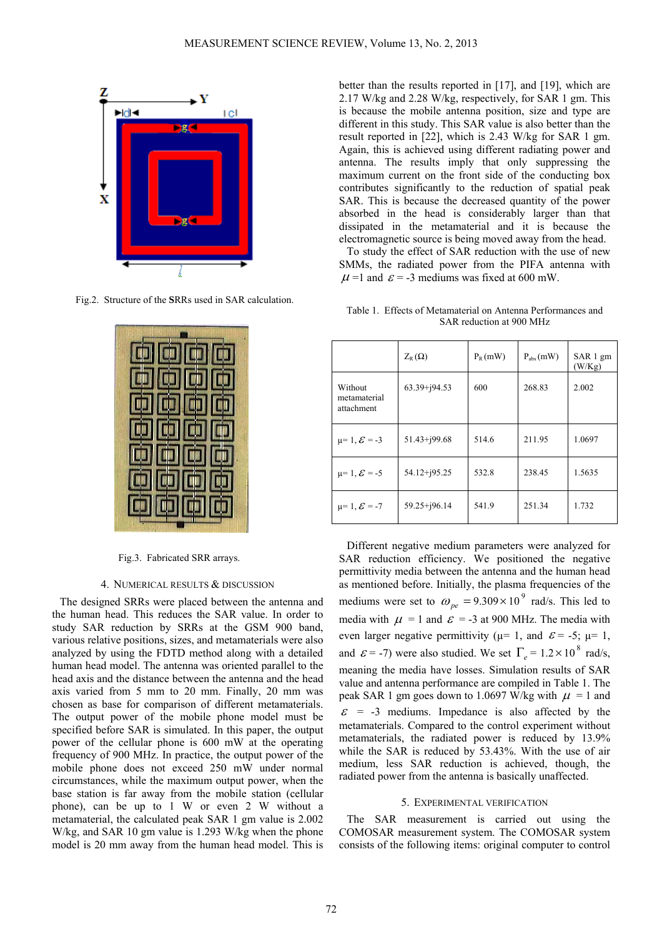

Fig.2.Structure of the **S**RRs used in SAR calculation.



Fig.3. Fabricated SRR arrays.

#### 4. NUMERICAL RESULTS & DISCUSSION

The designed SRRs were placed between the antenna and the human head. This reduces the SAR value. In order to study SAR reduction by SRRs at the GSM 900 band, various relative positions, sizes, and metamaterials were also analyzed by using the FDTD method along with a detailed human head model. The antenna was oriented parallel to the head axis and the distance between the antenna and the head axis varied from 5 mm to 20 mm. Finally, 20 mm was chosen as base for comparison of different metamaterials. The output power of the mobile phone model must be specified before SAR is simulated. In this paper, the output power of the cellular phone is 600 mW at the operating frequency of 900 MHz. In practice, the output power of the mobile phone does not exceed 250 mW under normal circumstances, while the maximum output power, when the base station is far away from the mobile station (cellular phone), can be up to 1 W or even 2 W without a metamaterial, the calculated peak SAR 1 gm value is 2.002 W/kg, and SAR 10 gm value is 1.293 W/kg when the phone model is 20 mm away from the human head model. This is

better than the results reported in [17], and [19], which are 2.17 W/kg and 2.28 W/kg, respectively, for SAR 1 gm. This is because the mobile antenna position, size and type are different in this study. This SAR value is also better than the result reported in [22], which is 2.43 W/kg for SAR 1 gm. Again, this is achieved using different radiating power and antenna. The results imply that only suppressing the maximum current on the front side of the conducting box contributes significantly to the reduction of spatial peak SAR. This is because the decreased quantity of the power absorbed in the head is considerably larger than that dissipated in the metamaterial and it is because the electromagnetic source is being moved away from the head.

To study the effect of SAR reduction with the use of new SMMs, the radiated power from the PIFA antenna with  $\mu$  =1 and  $\varepsilon$  = -3 mediums was fixed at 600 mW.

Table 1. Effects of Metamaterial on Antenna Performances and SAR reduction at 900 MHz

|                                       | $Z_{R}(\Omega)$  | $P_R$ (mW) | $P_{\text{abs}}(mW)$ | SAR 1 gm<br>(W/Kg) |
|---------------------------------------|------------------|------------|----------------------|--------------------|
| Without<br>metamaterial<br>attachment | $63.39 + j94.53$ | 600        | 268.83               | 2.002              |
| $\mu = 1, \mathcal{E} = -3$           | $51.43 + j99.68$ | 514.6      | 211.95               | 1.0697             |
| $\mu = 1, \mathcal{E} = -5$           | 54.12+j95.25     | 532.8      | 238.45               | 1.5635             |
| $\mu = 1, \mathcal{E} = -7$           | $59.25 + j96.14$ | 541.9      | 251.34               | 1.732              |

Different negative medium parameters were analyzed for SAR reduction efficiency. We positioned the negative permittivity media between the antenna and the human head as mentioned before. Initially, the plasma frequencies of the mediums were set to  $\omega_{pe} = 9.309 \times 10^9$  rad/s. This led to media with  $\mu$  = 1 and  $\varepsilon$  = -3 at 900 MHz. The media with even larger negative permittivity ( $\mu$ = 1, and  $\varepsilon$  = -5;  $\mu$ = 1, and  $\varepsilon$  = -7) were also studied. We set  $\Gamma_e = 1.2 \times 10^8$  rad/s, meaning the media have losses. Simulation results of SAR value and antenna performance are compiled in Table 1. The peak SAR 1 gm goes down to 1.0697 W/kg with  $\mu$  = 1 and  $\epsilon$  = -3 mediums. Impedance is also affected by the metamaterials. Compared to the control experiment without metamaterials, the radiated power is reduced by 13.9% while the SAR is reduced by 53.43%. With the use of air medium, less SAR reduction is achieved, though, the radiated power from the antenna is basically unaffected.

#### 5. EXPERIMENTAL VERIFICATION

The SAR measurement is carried out using the COMOSAR measurement system. The COMOSAR system consists of the following items: original computer to control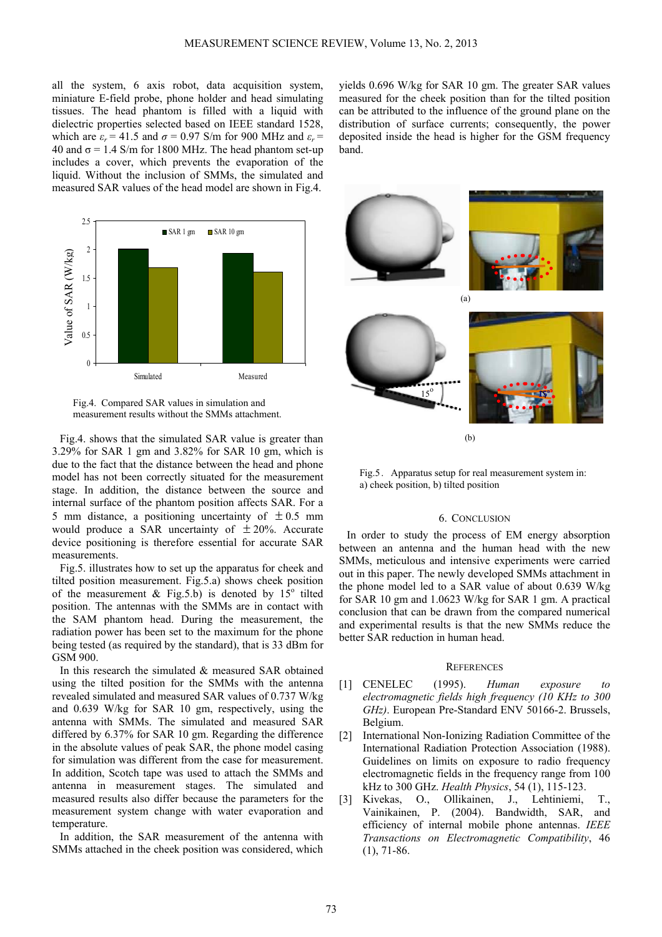all the system, 6 axis robot, data acquisition system, miniature E-field probe, phone holder and head simulating tissues. The head phantom is filled with a liquid with dielectric properties selected based on IEEE standard 1528, which are  $\varepsilon_r = 41.5$  and  $\sigma = 0.97$  S/m for 900 MHz and  $\varepsilon_r =$ 40 and  $\sigma$  = 1.4 S/m for 1800 MHz. The head phantom set-up includes a cover, which prevents the evaporation of the liquid. Without the inclusion of SMMs, the simulated and measured SAR values of the head model are shown in Fig.4.



Fig.4. Compared SAR values in simulation and measurement results without the SMMs attachment.

Fig.4. shows that the simulated SAR value is greater than 3.29% for SAR 1 gm and 3.82% for SAR 10 gm, which is due to the fact that the distance between the head and phone model has not been correctly situated for the measurement stage. In addition, the distance between the source and internal surface of the phantom position affects SAR. For a 5 mm distance, a positioning uncertainty of  $\pm 0.5$  mm would produce a SAR uncertainty of  $\pm 20\%$ . Accurate device positioning is therefore essential for accurate SAR measurements.

Fig.5. illustrates how to set up the apparatus for cheek and tilted position measurement. Fig.5.a) shows cheek position of the measurement & Fig.5.b) is denoted by  $15^{\circ}$  tilted position. The antennas with the SMMs are in contact with the SAM phantom head. During the measurement, the radiation power has been set to the maximum for the phone being tested (as required by the standard), that is 33 dBm for GSM 900.

In this research the simulated  $&$  measured SAR obtained using the tilted position for the SMMs with the antenna revealed simulated and measured SAR values of 0.737 W/kg and 0.639 W/kg for SAR 10 gm, respectively, using the antenna with SMMs. The simulated and measured SAR differed by 6.37% for SAR 10 gm. Regarding the difference in the absolute values of peak SAR, the phone model casing for simulation was different from the case for measurement. In addition, Scotch tape was used to attach the SMMs and antenna in measurement stages. The simulated and measured results also differ because the parameters for the measurement system change with water evaporation and temperature.

In addition, the SAR measurement of the antenna with SMMs attached in the cheek position was considered, which yields 0.696 W/kg for SAR 10 gm. The greater SAR values measured for the cheek position than for the tilted position can be attributed to the influence of the ground plane on the distribution of surface currents; consequently, the power deposited inside the head is higher for the GSM frequency band.



Fig.5. Apparatus setup for real measurement system in: a) cheek position, b) tilted position

## 6. CONCLUSION

In order to study the process of EM energy absorption between an antenna and the human head with the new SMMs, meticulous and intensive experiments were carried out in this paper. The newly developed SMMs attachment in the phone model led to a SAR value of about 0.639 W/kg for SAR 10 gm and 1.0623 W/kg for SAR 1 gm. A practical conclusion that can be drawn from the compared numerical and experimental results is that the new SMMs reduce the better SAR reduction in human head.

#### **REFERENCES**

- [1] CENELEC (1995). *Human exposure to electromagnetic fields high frequency (10 KHz to 300 GHz)*. European Pre-Standard ENV 50166-2. Brussels, Belgium.
- [2] International Non-Ionizing Radiation Committee of the International Radiation Protection Association (1988). Guidelines on limits on exposure to radio frequency electromagnetic fields in the frequency range from 100 kHz to 300 GHz. *Health Physics*, 54 (1), 115-123.
- [3] Kivekas, O., Ollikainen, J., Lehtiniemi, T., Vainikainen, P. (2004). Bandwidth, SAR, and efficiency of internal mobile phone antennas. *IEEE Transactions on Electromagnetic Compatibility*, 46 (1), 71-86.